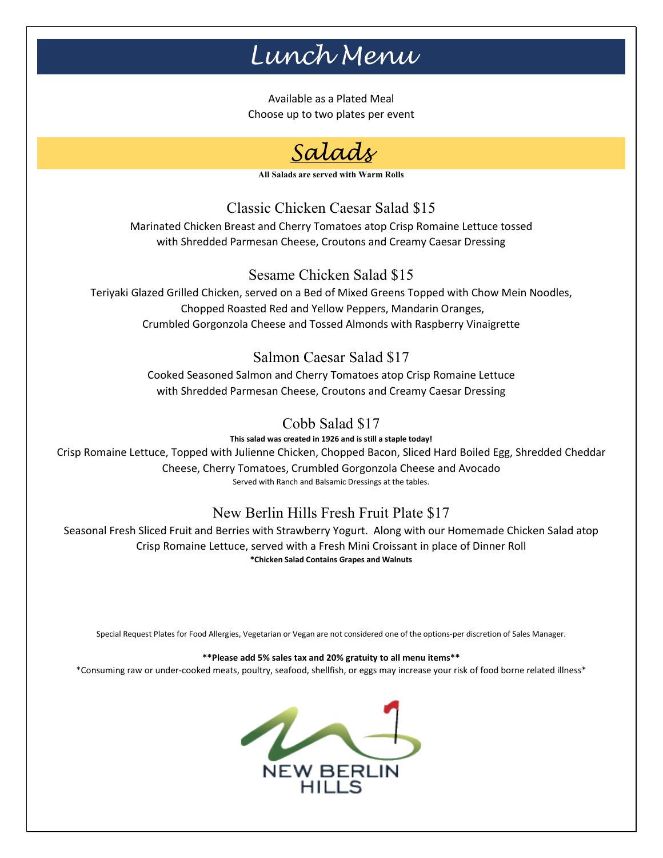# *Lunch Menu*

Available as a Plated Meal Choose up to two plates per event



**All Salads are served with Warm Rolls** 

Classic Chicken Caesar Salad \$15

Marinated Chicken Breast and Cherry Tomatoes atop Crisp Romaine Lettuce tossed with Shredded Parmesan Cheese, Croutons and Creamy Caesar Dressing

## Sesame Chicken Salad \$15

Teriyaki Glazed Grilled Chicken, served on a Bed of Mixed Greens Topped with Chow Mein Noodles, Chopped Roasted Red and Yellow Peppers, Mandarin Oranges, Crumbled Gorgonzola Cheese and Tossed Almonds with Raspberry Vinaigrette

## Salmon Caesar Salad \$17

Cooked Seasoned Salmon and Cherry Tomatoes atop Crisp Romaine Lettuce with Shredded Parmesan Cheese, Croutons and Creamy Caesar Dressing

Cobb Salad \$17

**This salad was created in 1926 and is still a staple today!** Crisp Romaine Lettuce, Topped with Julienne Chicken, Chopped Bacon, Sliced Hard Boiled Egg, Shredded Cheddar Cheese, Cherry Tomatoes, Crumbled Gorgonzola Cheese and Avocado Served with Ranch and Balsamic Dressings at the tables.

## New Berlin Hills Fresh Fruit Plate \$17

Seasonal Fresh Sliced Fruit and Berries with Strawberry Yogurt. Along with our Homemade Chicken Salad atop Crisp Romaine Lettuce, served with a Fresh Mini Croissant in place of Dinner Roll **\*Chicken Salad Contains Grapes and Walnuts**

Special Request Plates for Food Allergies, Vegetarian or Vegan are not considered one of the options-per discretion of Sales Manager.

#### **\*\*Please add 5% sales tax and 20% gratuity to all menu items\*\***

\*Consuming raw or under-cooked meats, poultry, seafood, shellfish, or eggs may increase your risk of food borne related illness\*

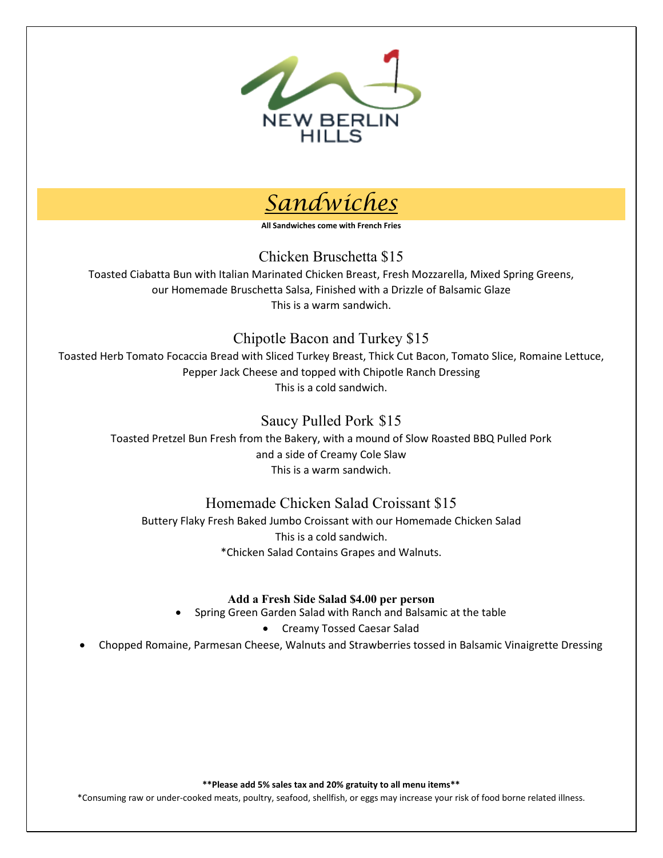



**All Sandwiches come with French Fries** 

Chicken Bruschetta \$15

Toasted Ciabatta Bun with Italian Marinated Chicken Breast, Fresh Mozzarella, Mixed Spring Greens, our Homemade Bruschetta Salsa, Finished with a Drizzle of Balsamic Glaze This is a warm sandwich.

### Chipotle Bacon and Turkey \$15

Toasted Herb Tomato Focaccia Bread with Sliced Turkey Breast, Thick Cut Bacon, Tomato Slice, Romaine Lettuce, Pepper Jack Cheese and topped with Chipotle Ranch Dressing This is a cold sandwich.

## Saucy Pulled Pork \$15

Toasted Pretzel Bun Fresh from the Bakery, with a mound of Slow Roasted BBQ Pulled Pork and a side of Creamy Cole Slaw This is a warm sandwich.

## Homemade Chicken Salad Croissant \$15

Buttery Flaky Fresh Baked Jumbo Croissant with our Homemade Chicken Salad This is a cold sandwich. \*Chicken Salad Contains Grapes and Walnuts.

### **Add a Fresh Side Salad \$4.00 per person**

- Spring Green Garden Salad with Ranch and Balsamic at the table
	- Creamy Tossed Caesar Salad

• Chopped Romaine, Parmesan Cheese, Walnuts and Strawberries tossed in Balsamic Vinaigrette Dressing

**\*\*Please add 5% sales tax and 20% gratuity to all menu items\*\***

\*Consuming raw or under-cooked meats, poultry, seafood, shellfish, or eggs may increase your risk of food borne related illness.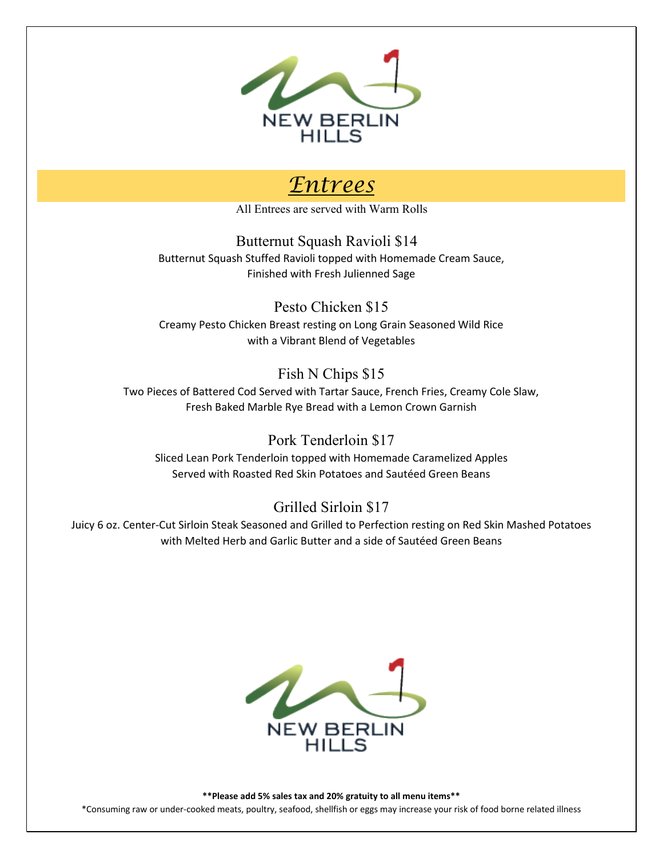

## *Entrees*

All Entrees are served with Warm Rolls

Butternut Squash Ravioli \$14 Butternut Squash Stuffed Ravioli topped with Homemade Cream Sauce, Finished with Fresh Julienned Sage

Pesto Chicken \$15 Creamy Pesto Chicken Breast resting on Long Grain Seasoned Wild Rice with a Vibrant Blend of Vegetables

## Fish N Chips \$15

Two Pieces of Battered Cod Served with Tartar Sauce, French Fries, Creamy Cole Slaw, Fresh Baked Marble Rye Bread with a Lemon Crown Garnish

## Pork Tenderloin \$17

Sliced Lean Pork Tenderloin topped with Homemade Caramelized Apples Served with Roasted Red Skin Potatoes and Sautéed Green Beans

## Grilled Sirloin \$17

Juicy 6 oz. Center-Cut Sirloin Steak Seasoned and Grilled to Perfection resting on Red Skin Mashed Potatoes with Melted Herb and Garlic Butter and a side of Sautéed Green Beans



**\*\*Please add 5% sales tax and 20% gratuity to all menu items\*\***  \*Consuming raw or under-cooked meats, poultry, seafood, shellfish or eggs may increase your risk of food borne related illness